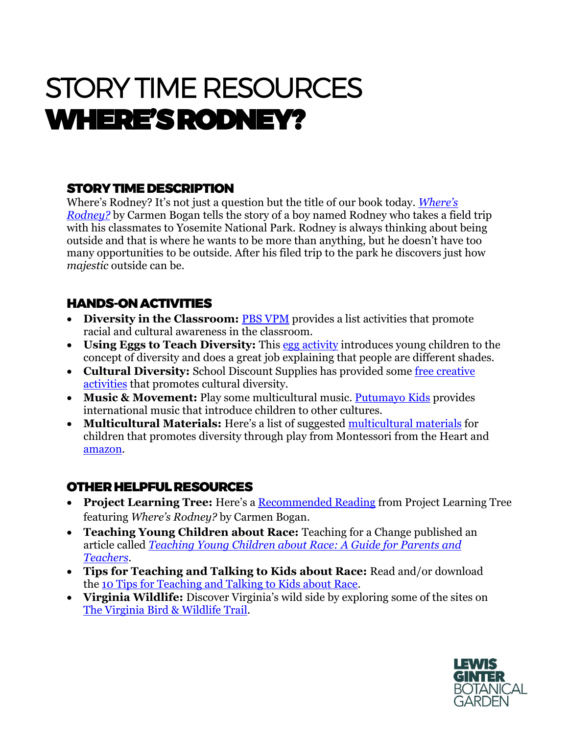# STORY TIME RESOURCES WHERE'S RODNEY?

# **STORY TIME DESCRIPTION**

Where's Rodney? It's not just a question but the title of our book today. *[Where's](https://www.amazon.com/Wheres-Rodney-Carmen-Bogan/dp/1930238738)  [Rodney?](https://www.amazon.com/Wheres-Rodney-Carmen-Bogan/dp/1930238738)* by Carmen Bogan tells the story of a boy named Rodney who takes a field trip with his classmates to Yosemite National Park. Rodney is always thinking about being outside and that is where he wants to be more than anything, but he doesn't have too many opportunities to be outside. After his filed trip to the park he discovers just how *majestic* outside can be.

## HANDS-ON ACTIVITIES

- Diversity in the Classroom: **[PBS VPM](https://www.pbs.org/kcts/preciouschildren/diversity/read_activities.html)** provides a list activities that promote racial and cultural awareness in the classroom.
- **Using Eggs to Teach Diversity:** This [egg activity](https://kidsactivitiesblog.com/23747/what-is-diversity/) introduces young children to the concept of diversity and does a great job explaining that people are different shades.
- **Cultural Diversity:** School Discount Supplies has provided some [free creative](https://www.discountschoolsupply.com/cultural-diversity-craft-activities)  [activities](https://www.discountschoolsupply.com/cultural-diversity-craft-activities) that promotes cultural diversity.
- **Music & Movement:** Play some multicultural music. [Putumayo Kids](https://www.putumayo.com/kids-music) provides international music that introduce children to other cultures.
- **Multicultural Materials:** Here's a list of suggested [multicultural materials](https://montessorifromtheheart.com/2020/06/03/kids-multicultural-diversity-materials/) for children that promotes diversity through play from Montessori from the Heart and [amazon.](https://www.amazon.com/multicultural-art-supplies/s?k=multicultural+art+supplies)

#### OTHER HELPFUL RESOURCES

- **Project Learning Tree:** Here's a [Recommended Reading](https://www.plt.org/recommended-reading/where-is-rodney/) from Project Learning Tree featuring *Where's Rodney?* by Carmen Bogan.
- **Teaching Young Children about Race:** Teaching for a Change published an article called *[Teaching Young Children about Race: A Guide for Parents and](https://www.teachingforchange.org/teaching-about-race)  [Teachers](https://www.teachingforchange.org/teaching-about-race)*.
- **Tips for Teaching and Talking to Kids about Race:** Read and/or download the [10 Tips for Teaching and Talking to Kids about Race.](https://www.embracerace.org/resources/teaching-and-talking-to-kids)
- **Virginia Wildlife:** Discover Virginia's wild side by exploring some of the sites on [The Virginia Bird & Wildlife Trail.](https://dwr.virginia.gov/vbwt/)